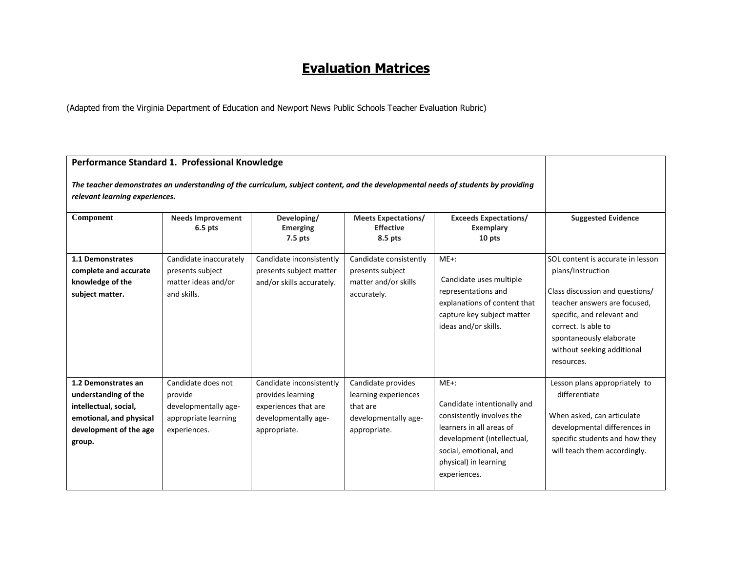# **Evaluation Matrices**

(Adapted from the Virginia Department of Education and Newport News Public Schools Teacher Evaluation Rubric)

| Performance Standard 1. Professional Knowledge<br>The teacher demonstrates an understanding of the curriculum, subject content, and the developmental needs of students by providing<br>relevant learning experiences. |                                                                                               |                                                                                                               |                                                                                                |                                                                                                                                                                                                  |                                                                                                                                                                                                                                                       |
|------------------------------------------------------------------------------------------------------------------------------------------------------------------------------------------------------------------------|-----------------------------------------------------------------------------------------------|---------------------------------------------------------------------------------------------------------------|------------------------------------------------------------------------------------------------|--------------------------------------------------------------------------------------------------------------------------------------------------------------------------------------------------|-------------------------------------------------------------------------------------------------------------------------------------------------------------------------------------------------------------------------------------------------------|
| Component                                                                                                                                                                                                              | <b>Needs Improvement</b><br>6.5 pts                                                           | Developing/<br><b>Emerging</b><br>$7.5$ pts                                                                   | <b>Meets Expectations/</b><br><b>Effective</b><br>8.5 pts                                      | <b>Exceeds Expectations/</b><br>Exemplary<br>10 pts                                                                                                                                              | <b>Suggested Evidence</b>                                                                                                                                                                                                                             |
| 1.1 Demonstrates<br>complete and accurate<br>knowledge of the<br>subject matter.                                                                                                                                       | Candidate inaccurately<br>presents subject<br>matter ideas and/or<br>and skills.              | Candidate inconsistently<br>presents subject matter<br>and/or skills accurately.                              | Candidate consistently<br>presents subject<br>matter and/or skills<br>accurately.              | $ME+$ :<br>Candidate uses multiple<br>representations and<br>explanations of content that<br>capture key subject matter<br>ideas and/or skills.                                                  | SOL content is accurate in lesson<br>plans/Instruction<br>Class discussion and questions/<br>teacher answers are focused,<br>specific, and relevant and<br>correct. Is able to<br>spontaneously elaborate<br>without seeking additional<br>resources. |
| 1.2 Demonstrates an<br>understanding of the<br>intellectual, social,<br>emotional, and physical<br>development of the age<br>group.                                                                                    | Candidate does not<br>provide<br>developmentally age-<br>appropriate learning<br>experiences. | Candidate inconsistently<br>provides learning<br>experiences that are<br>developmentally age-<br>appropriate. | Candidate provides<br>learning experiences<br>that are<br>developmentally age-<br>appropriate. | $ME+$ :<br>Candidate intentionally and<br>consistently involves the<br>learners in all areas of<br>development (intellectual,<br>social, emotional, and<br>physical) in learning<br>experiences. | Lesson plans appropriately to<br>differentiate<br>When asked, can articulate<br>developmental differences in<br>specific students and how they<br>will teach them accordingly.                                                                        |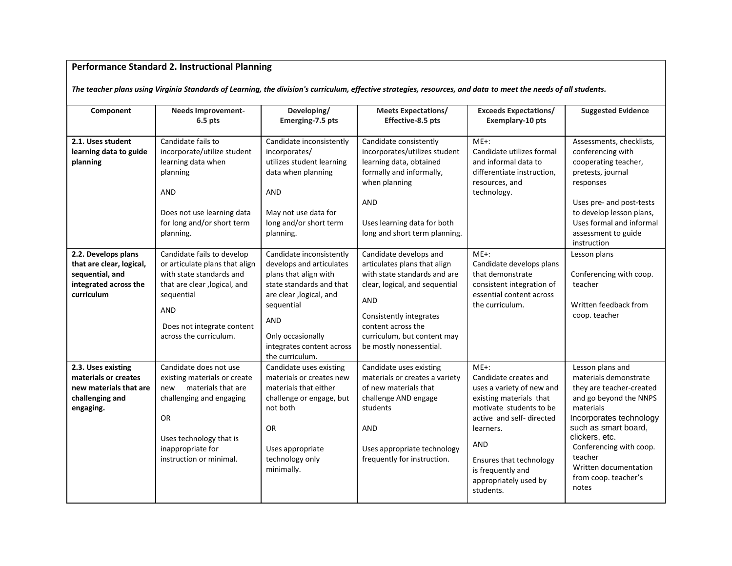## **Performance Standard 2. Instructional Planning**

*The teacher plans using Virginia Standards of Learning, the division's curriculum, effective strategies, resources, and data to meet the needs of all students.* 

| Component                                                                                                 | <b>Needs Improvement-</b><br>$6.5$ pts                                                                                                                                                                        | Developing/<br>Emerging-7.5 pts                                                                                                                                                                                                        | <b>Meets Expectations/</b><br>Effective-8.5 pts                                                                                                                                                                                                   | <b>Exceeds Expectations/</b><br><b>Exemplary-10 pts</b>                                                                                                                                                                                                          | <b>Suggested Evidence</b>                                                                                                                                                                                                                                                         |
|-----------------------------------------------------------------------------------------------------------|---------------------------------------------------------------------------------------------------------------------------------------------------------------------------------------------------------------|----------------------------------------------------------------------------------------------------------------------------------------------------------------------------------------------------------------------------------------|---------------------------------------------------------------------------------------------------------------------------------------------------------------------------------------------------------------------------------------------------|------------------------------------------------------------------------------------------------------------------------------------------------------------------------------------------------------------------------------------------------------------------|-----------------------------------------------------------------------------------------------------------------------------------------------------------------------------------------------------------------------------------------------------------------------------------|
| 2.1. Uses student<br>learning data to guide<br>planning                                                   | Candidate fails to<br>incorporate/utilize student<br>learning data when<br>planning<br>AND<br>Does not use learning data<br>for long and/or short term<br>planning.                                           | Candidate inconsistently<br>incorporates/<br>utilizes student learning<br>data when planning<br><b>AND</b><br>May not use data for<br>long and/or short term<br>planning.                                                              | Candidate consistently<br>incorporates/utilizes student<br>learning data, obtained<br>formally and informally,<br>when planning<br>AND<br>Uses learning data for both<br>long and short term planning.                                            | $ME+$ :<br>Candidate utilizes formal<br>and informal data to<br>differentiate instruction,<br>resources, and<br>technology.                                                                                                                                      | Assessments, checklists,<br>conferencing with<br>cooperating teacher,<br>pretests, journal<br>responses<br>Uses pre- and post-tests<br>to develop lesson plans,<br>Uses formal and informal<br>assessment to guide<br>instruction                                                 |
| 2.2. Develops plans<br>that are clear, logical,<br>sequential, and<br>integrated across the<br>curriculum | Candidate fails to develop<br>or articulate plans that align<br>with state standards and<br>that are clear , logical, and<br>sequential<br><b>AND</b><br>Does not integrate content<br>across the curriculum. | Candidate inconsistently<br>develops and articulates<br>plans that align with<br>state standards and that<br>are clear , logical, and<br>sequential<br><b>AND</b><br>Only occasionally<br>integrates content across<br>the curriculum. | Candidate develops and<br>articulates plans that align<br>with state standards and are<br>clear, logical, and sequential<br><b>AND</b><br>Consistently integrates<br>content across the<br>curriculum, but content may<br>be mostly nonessential. | $ME+$ :<br>Candidate develops plans<br>that demonstrate<br>consistent integration of<br>essential content across<br>the curriculum.                                                                                                                              | Lesson plans<br>Conferencing with coop.<br>teacher<br>Written feedback from<br>coop. teacher                                                                                                                                                                                      |
| 2.3. Uses existing<br>materials or creates<br>new materials that are<br>challenging and<br>engaging.      | Candidate does not use<br>existing materials or create<br>materials that are<br>new<br>challenging and engaging<br><b>OR</b><br>Uses technology that is<br>inappropriate for<br>instruction or minimal.       | Candidate uses existing<br>materials or creates new<br>materials that either<br>challenge or engage, but<br>not both<br><b>OR</b><br>Uses appropriate<br>technology only<br>minimally.                                                 | Candidate uses existing<br>materials or creates a variety<br>of new materials that<br>challenge AND engage<br>students<br><b>AND</b><br>Uses appropriate technology<br>frequently for instruction.                                                | $ME+$ :<br>Candidate creates and<br>uses a variety of new and<br>existing materials that<br>motivate students to be<br>active and self-directed<br>learners.<br><b>AND</b><br>Ensures that technology<br>is frequently and<br>appropriately used by<br>students. | Lesson plans and<br>materials demonstrate<br>they are teacher-created<br>and go beyond the NNPS<br>materials<br>Incorporates technology<br>such as smart board,<br>clickers, etc.<br>Conferencing with coop.<br>teacher<br>Written documentation<br>from coop. teacher's<br>notes |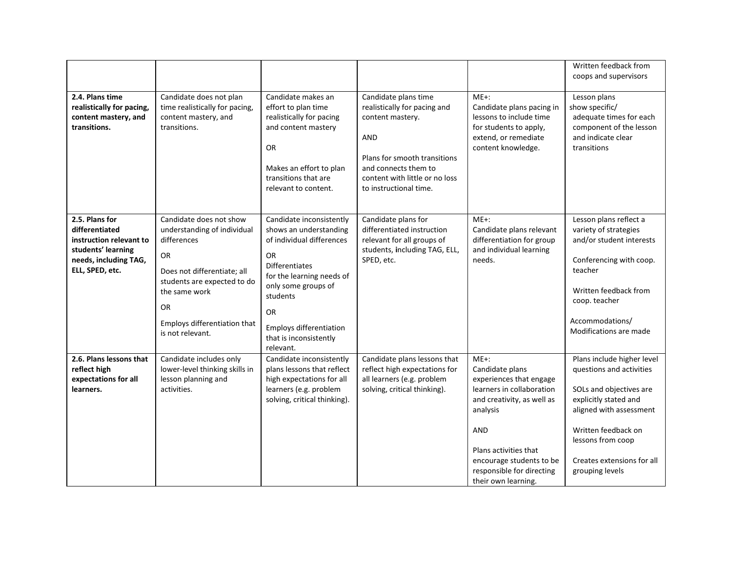|                                                                                                                               |                                                                                                                                                                                                                                    |                                                                                                                                                                                                                                                                      |                                                                                                                                                                                                     |                                                                                                                                                                                                                                             | Written feedback from<br>coops and supervisors                                                                                                                                                                                     |
|-------------------------------------------------------------------------------------------------------------------------------|------------------------------------------------------------------------------------------------------------------------------------------------------------------------------------------------------------------------------------|----------------------------------------------------------------------------------------------------------------------------------------------------------------------------------------------------------------------------------------------------------------------|-----------------------------------------------------------------------------------------------------------------------------------------------------------------------------------------------------|---------------------------------------------------------------------------------------------------------------------------------------------------------------------------------------------------------------------------------------------|------------------------------------------------------------------------------------------------------------------------------------------------------------------------------------------------------------------------------------|
| 2.4. Plans time<br>realistically for pacing,<br>content mastery, and<br>transitions.                                          | Candidate does not plan<br>time realistically for pacing,<br>content mastery, and<br>transitions.                                                                                                                                  | Candidate makes an<br>effort to plan time<br>realistically for pacing<br>and content mastery<br><b>OR</b><br>Makes an effort to plan<br>transitions that are<br>relevant to content.                                                                                 | Candidate plans time<br>realistically for pacing and<br>content mastery.<br>AND<br>Plans for smooth transitions<br>and connects them to<br>content with little or no loss<br>to instructional time. | $ME+:$<br>Candidate plans pacing in<br>lessons to include time<br>for students to apply,<br>extend, or remediate<br>content knowledge.                                                                                                      | Lesson plans<br>show specific/<br>adequate times for each<br>component of the lesson<br>and indicate clear<br>transitions                                                                                                          |
| 2.5. Plans for<br>differentiated<br>instruction relevant to<br>students' learning<br>needs, including TAG,<br>ELL, SPED, etc. | Candidate does not show<br>understanding of individual<br>differences<br><b>OR</b><br>Does not differentiate; all<br>students are expected to do<br>the same work<br><b>OR</b><br>Employs differentiation that<br>is not relevant. | Candidate inconsistently<br>shows an understanding<br>of individual differences<br><b>OR</b><br><b>Differentiates</b><br>for the learning needs of<br>only some groups of<br>students<br>OR<br><b>Employs differentiation</b><br>that is inconsistently<br>relevant. | Candidate plans for<br>differentiated instruction<br>relevant for all groups of<br>students, including TAG, ELL,<br>SPED, etc.                                                                      | $ME+$ :<br>Candidate plans relevant<br>differentiation for group<br>and individual learning<br>needs.                                                                                                                                       | Lesson plans reflect a<br>variety of strategies<br>and/or student interests<br>Conferencing with coop.<br>teacher<br>Written feedback from<br>coop. teacher<br>Accommodations/<br>Modifications are made                           |
| 2.6. Plans lessons that<br>reflect high<br>expectations for all<br>learners.                                                  | Candidate includes only<br>lower-level thinking skills in<br>lesson planning and<br>activities.                                                                                                                                    | Candidate inconsistently<br>plans lessons that reflect<br>high expectations for all<br>learners (e.g. problem<br>solving, critical thinking).                                                                                                                        | Candidate plans lessons that<br>reflect high expectations for<br>all learners (e.g. problem<br>solving, critical thinking).                                                                         | $ME+:$<br>Candidate plans<br>experiences that engage<br>learners in collaboration<br>and creativity, as well as<br>analysis<br>AND<br>Plans activities that<br>encourage students to be<br>responsible for directing<br>their own learning. | Plans include higher level<br>questions and activities<br>SOLs and objectives are<br>explicitly stated and<br>aligned with assessment<br>Written feedback on<br>lessons from coop<br>Creates extensions for all<br>grouping levels |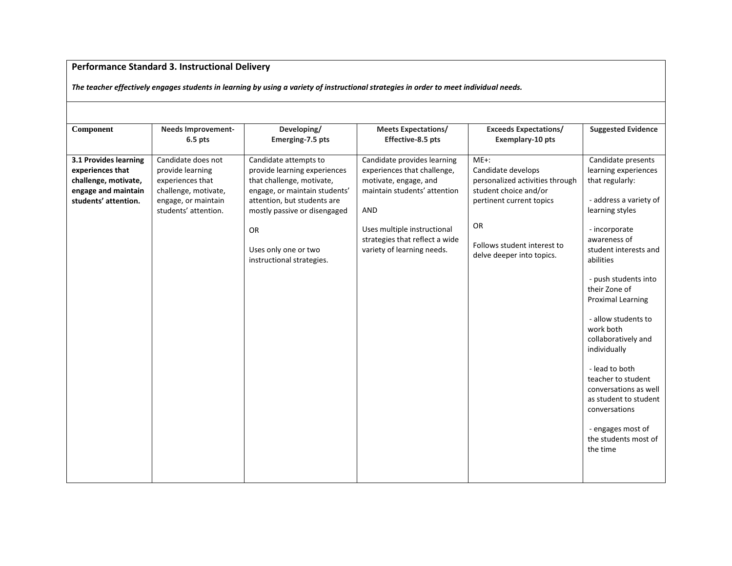## **Performance Standard 3. Instructional Delivery**

*The teacher effectively engages students in learning by using a variety of instructional strategies in order to meet individual needs.*

| Component                                                                                                        | <b>Needs Improvement-</b><br>$6.5$ pts                                                                                            | Developing/<br>Emerging-7.5 pts                                                                                                                                                                                                                      | <b>Meets Expectations/</b><br>Effective-8.5 pts                                                                                                                                                                           | <b>Exceeds Expectations/</b><br>Exemplary-10 pts                                                                                                                                        | <b>Suggested Evidence</b>                                                                                                                                                                                                                                                                                                                                                                                                                                                                             |
|------------------------------------------------------------------------------------------------------------------|-----------------------------------------------------------------------------------------------------------------------------------|------------------------------------------------------------------------------------------------------------------------------------------------------------------------------------------------------------------------------------------------------|---------------------------------------------------------------------------------------------------------------------------------------------------------------------------------------------------------------------------|-----------------------------------------------------------------------------------------------------------------------------------------------------------------------------------------|-------------------------------------------------------------------------------------------------------------------------------------------------------------------------------------------------------------------------------------------------------------------------------------------------------------------------------------------------------------------------------------------------------------------------------------------------------------------------------------------------------|
| 3.1 Provides learning<br>experiences that<br>challenge, motivate,<br>engage and maintain<br>students' attention. | Candidate does not<br>provide learning<br>experiences that<br>challenge, motivate,<br>engage, or maintain<br>students' attention. | Candidate attempts to<br>provide learning experiences<br>that challenge, motivate,<br>engage, or maintain students'<br>attention, but students are<br>mostly passive or disengaged<br><b>OR</b><br>Uses only one or two<br>instructional strategies. | Candidate provides learning<br>experiences that challenge,<br>motivate, engage, and<br>maintain students' attention<br>AND<br>Uses multiple instructional<br>strategies that reflect a wide<br>variety of learning needs. | $ME+$ :<br>Candidate develops<br>personalized activities through<br>student choice and/or<br>pertinent current topics<br>OR<br>Follows student interest to<br>delve deeper into topics. | Candidate presents<br>learning experiences<br>that regularly:<br>- address a variety of<br>learning styles<br>- incorporate<br>awareness of<br>student interests and<br>abilities<br>- push students into<br>their Zone of<br><b>Proximal Learning</b><br>- allow students to<br>work both<br>collaboratively and<br>individually<br>- lead to both<br>teacher to student<br>conversations as well<br>as student to student<br>conversations<br>- engages most of<br>the students most of<br>the time |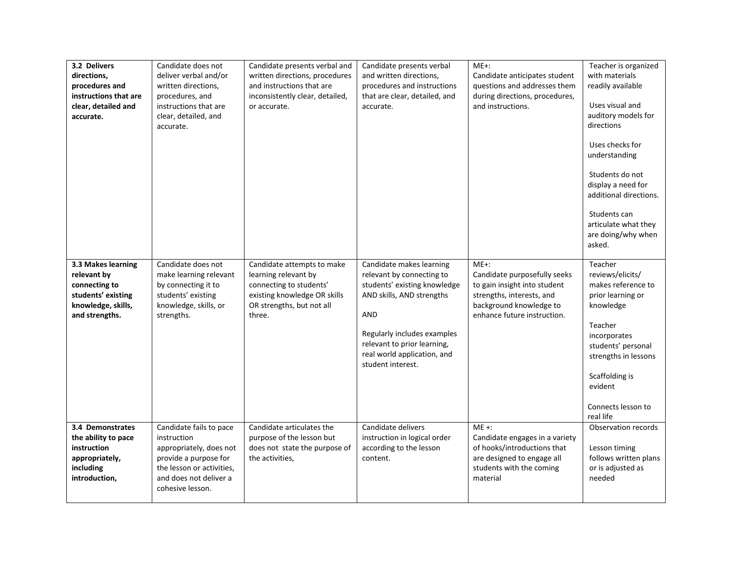| 3.2 Delivers<br>directions,<br>procedures and<br>instructions that are<br>clear, detailed and<br>accurate.       | Candidate does not<br>deliver verbal and/or<br>written directions,<br>procedures, and<br>instructions that are<br>clear, detailed, and<br>accurate.                   | Candidate presents verbal and<br>written directions, procedures<br>and instructions that are<br>inconsistently clear, detailed,<br>or accurate.      | Candidate presents verbal<br>and written directions,<br>procedures and instructions<br>that are clear, detailed, and<br>accurate.                                                                                                           | $ME+$ :<br>Candidate anticipates student<br>questions and addresses them<br>during directions, procedures,<br>and instructions.                                | Teacher is organized<br>with materials<br>readily available<br>Uses visual and<br>auditory models for<br>directions<br>Uses checks for<br>understanding<br>Students do not<br>display a need for<br>additional directions.<br>Students can<br>articulate what they<br>are doing/why when<br>asked. |
|------------------------------------------------------------------------------------------------------------------|-----------------------------------------------------------------------------------------------------------------------------------------------------------------------|------------------------------------------------------------------------------------------------------------------------------------------------------|---------------------------------------------------------------------------------------------------------------------------------------------------------------------------------------------------------------------------------------------|----------------------------------------------------------------------------------------------------------------------------------------------------------------|----------------------------------------------------------------------------------------------------------------------------------------------------------------------------------------------------------------------------------------------------------------------------------------------------|
| 3.3 Makes learning<br>relevant by<br>connecting to<br>students' existing<br>knowledge, skills,<br>and strengths. | Candidate does not<br>make learning relevant<br>by connecting it to<br>students' existing<br>knowledge, skills, or<br>strengths.                                      | Candidate attempts to make<br>learning relevant by<br>connecting to students'<br>existing knowledge OR skills<br>OR strengths, but not all<br>three. | Candidate makes learning<br>relevant by connecting to<br>students' existing knowledge<br>AND skills, AND strengths<br>AND<br>Regularly includes examples<br>relevant to prior learning,<br>real world application, and<br>student interest. | $ME+$ :<br>Candidate purposefully seeks<br>to gain insight into student<br>strengths, interests, and<br>background knowledge to<br>enhance future instruction. | Teacher<br>reviews/elicits/<br>makes reference to<br>prior learning or<br>knowledge<br>Teacher<br>incorporates<br>students' personal<br>strengths in lessons<br>Scaffolding is<br>evident<br>Connects lesson to<br>real life                                                                       |
| 3.4 Demonstrates<br>the ability to pace<br>instruction<br>appropriately,<br>including<br>introduction,           | Candidate fails to pace<br>instruction<br>appropriately, does not<br>provide a purpose for<br>the lesson or activities.<br>and does not deliver a<br>cohesive lesson. | Candidate articulates the<br>purpose of the lesson but<br>does not state the purpose of<br>the activities,                                           | Candidate delivers<br>instruction in logical order<br>according to the lesson<br>content.                                                                                                                                                   | $ME +:$<br>Candidate engages in a variety<br>of hooks/introductions that<br>are designed to engage all<br>students with the coming<br>material                 | Observation records<br>Lesson timing<br>follows written plans<br>or is adjusted as<br>needed                                                                                                                                                                                                       |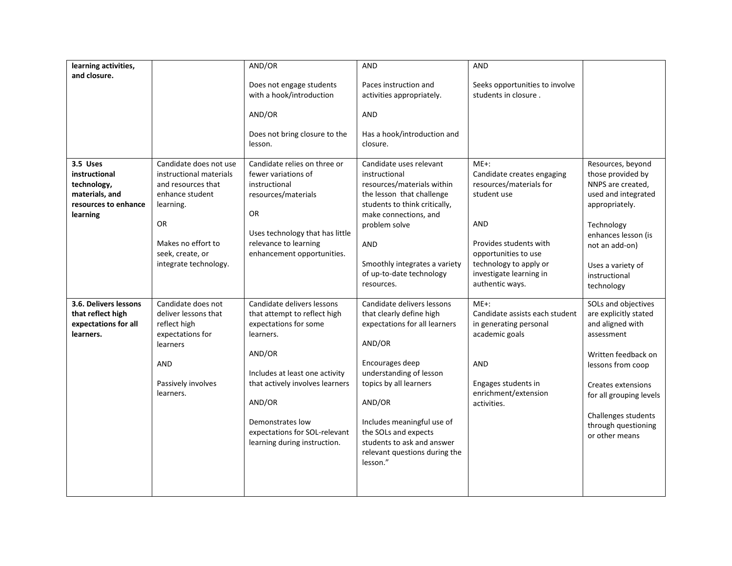| learning activities,  |                         | AND/OR                          | <b>AND</b>                    | AND                            |                         |
|-----------------------|-------------------------|---------------------------------|-------------------------------|--------------------------------|-------------------------|
| and closure.          |                         |                                 |                               |                                |                         |
|                       |                         | Does not engage students        | Paces instruction and         | Seeks opportunities to involve |                         |
|                       |                         | with a hook/introduction        | activities appropriately.     | students in closure.           |                         |
|                       |                         |                                 |                               |                                |                         |
|                       |                         | AND/OR                          | <b>AND</b>                    |                                |                         |
|                       |                         |                                 |                               |                                |                         |
|                       |                         | Does not bring closure to the   | Has a hook/introduction and   |                                |                         |
|                       |                         | lesson.                         | closure.                      |                                |                         |
|                       |                         |                                 |                               |                                |                         |
| 3.5 Uses              | Candidate does not use  | Candidate relies on three or    | Candidate uses relevant       | $ME+$ :                        | Resources, beyond       |
| instructional         | instructional materials | fewer variations of             | instructional                 | Candidate creates engaging     | those provided by       |
| technology,           | and resources that      | instructional                   | resources/materials within    | resources/materials for        | NNPS are created,       |
| materials, and        | enhance student         | resources/materials             | the lesson that challenge     | student use                    | used and integrated     |
| resources to enhance  | learning.               | OR                              | students to think critically, |                                | appropriately.          |
| learning              | OR                      |                                 | make connections, and         | AND                            |                         |
|                       |                         | Uses technology that has little | problem solve                 |                                | Technology              |
|                       | Makes no effort to      | relevance to learning           | AND                           | Provides students with         | enhances lesson (is     |
|                       | seek, create, or        | enhancement opportunities.      |                               | opportunities to use           | not an add-on)          |
|                       | integrate technology.   |                                 | Smoothly integrates a variety | technology to apply or         |                         |
|                       |                         |                                 | of up-to-date technology      | investigate learning in        | Uses a variety of       |
|                       |                         |                                 | resources.                    | authentic ways.                | instructional           |
|                       |                         |                                 |                               |                                | technology              |
| 3.6. Delivers lessons | Candidate does not      | Candidate delivers lessons      | Candidate delivers lessons    | $ME+:$                         | SOLs and objectives     |
| that reflect high     | deliver lessons that    | that attempt to reflect high    | that clearly define high      | Candidate assists each student | are explicitly stated   |
| expectations for all  | reflect high            | expectations for some           | expectations for all learners | in generating personal         | and aligned with        |
| learners.             | expectations for        | learners.                       |                               | academic goals                 | assessment              |
|                       | learners                |                                 | AND/OR                        |                                |                         |
|                       |                         | AND/OR                          |                               |                                | Written feedback on     |
|                       | <b>AND</b>              |                                 | Encourages deep               | AND                            | lessons from coop       |
|                       |                         | Includes at least one activity  | understanding of lesson       |                                |                         |
|                       | Passively involves      | that actively involves learners | topics by all learners        | Engages students in            | Creates extensions      |
|                       | learners.               |                                 |                               | enrichment/extension           | for all grouping levels |
|                       |                         | AND/OR                          | AND/OR                        | activities.                    |                         |
|                       |                         |                                 |                               |                                | Challenges students     |
|                       |                         | Demonstrates low                | Includes meaningful use of    |                                | through questioning     |
|                       |                         | expectations for SOL-relevant   | the SOLs and expects          |                                | or other means          |
|                       |                         | learning during instruction.    | students to ask and answer    |                                |                         |
|                       |                         |                                 | relevant questions during the |                                |                         |
|                       |                         |                                 | lesson."                      |                                |                         |
|                       |                         |                                 |                               |                                |                         |
|                       |                         |                                 |                               |                                |                         |
|                       |                         |                                 |                               |                                |                         |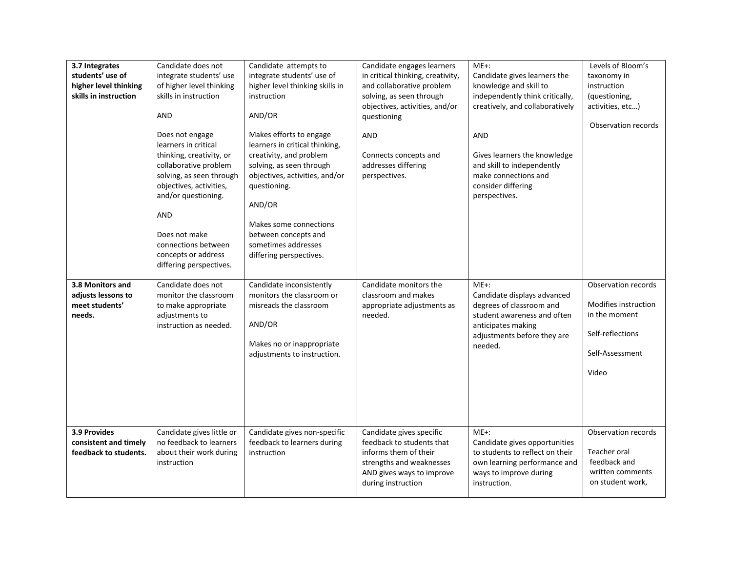| 3.7 Integrates<br>students' use of<br>higher level thinking<br>skills in instruction | Candidate does not<br>integrate students' use<br>of higher level thinking<br>skills in instruction<br>AND<br>Does not engage<br>learners in critical<br>thinking, creativity, or<br>collaborative problem<br>solving, as seen through<br>objectives, activities,<br>and/or questioning.<br><b>AND</b><br>Does not make<br>connections between<br>concepts or address<br>differing perspectives. | Candidate attempts to<br>integrate students' use of<br>higher level thinking skills in<br>instruction<br>AND/OR<br>Makes efforts to engage<br>learners in critical thinking,<br>creativity, and problem<br>solving, as seen through<br>objectives, activities, and/or<br>questioning.<br>AND/OR<br>Makes some connections<br>between concepts and<br>sometimes addresses<br>differing perspectives. | Candidate engages learners<br>in critical thinking, creativity,<br>and collaborative problem<br>solving, as seen through<br>objectives, activities, and/or<br>questioning<br>AND<br>Connects concepts and<br>addresses differing<br>perspectives. | $ME+$ :<br>Candidate gives learners the<br>knowledge and skill to<br>independently think critically,<br>creatively, and collaboratively<br><b>AND</b><br>Gives learners the knowledge<br>and skill to independently<br>make connections and<br>consider differing<br>perspectives. | Levels of Bloom's<br>taxonomy in<br>instruction<br>(questioning,<br>activities, etc)<br>Observation records  |
|--------------------------------------------------------------------------------------|-------------------------------------------------------------------------------------------------------------------------------------------------------------------------------------------------------------------------------------------------------------------------------------------------------------------------------------------------------------------------------------------------|-----------------------------------------------------------------------------------------------------------------------------------------------------------------------------------------------------------------------------------------------------------------------------------------------------------------------------------------------------------------------------------------------------|---------------------------------------------------------------------------------------------------------------------------------------------------------------------------------------------------------------------------------------------------|------------------------------------------------------------------------------------------------------------------------------------------------------------------------------------------------------------------------------------------------------------------------------------|--------------------------------------------------------------------------------------------------------------|
| 3.8 Monitors and<br>adjusts lessons to<br>meet students'<br>needs.                   | Candidate does not<br>monitor the classroom<br>to make appropriate<br>adjustments to<br>instruction as needed.                                                                                                                                                                                                                                                                                  | Candidate inconsistently<br>monitors the classroom or<br>misreads the classroom<br>AND/OR<br>Makes no or inappropriate<br>adjustments to instruction.                                                                                                                                                                                                                                               | Candidate monitors the<br>classroom and makes<br>appropriate adjustments as<br>needed.                                                                                                                                                            | $ME+$ :<br>Candidate displays advanced<br>degrees of classroom and<br>student awareness and often<br>anticipates making<br>adjustments before they are<br>needed.                                                                                                                  | Observation records<br>Modifies instruction<br>in the moment<br>Self-reflections<br>Self-Assessment<br>Video |
| 3.9 Provides<br>consistent and timely<br>feedback to students.                       | Candidate gives little or<br>no feedback to learners<br>about their work during<br>instruction                                                                                                                                                                                                                                                                                                  | Candidate gives non-specific<br>feedback to learners during<br>instruction                                                                                                                                                                                                                                                                                                                          | Candidate gives specific<br>feedback to students that<br>informs them of their<br>strengths and weaknesses<br>AND gives ways to improve<br>during instruction                                                                                     | $ME+$ :<br>Candidate gives opportunities<br>to students to reflect on their<br>own learning performance and<br>ways to improve during<br>instruction.                                                                                                                              | Observation records<br>Teacher oral<br>feedback and<br>written comments<br>on student work,                  |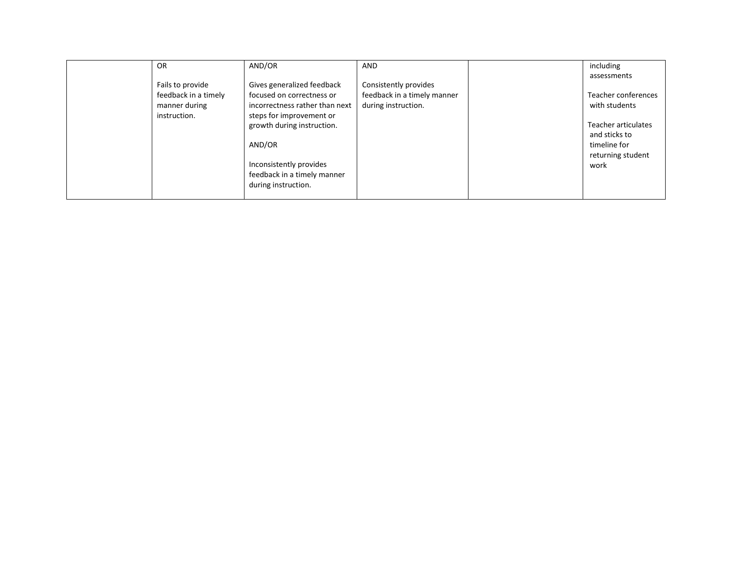| OR                   | AND/OR                         | AND                         | including           |
|----------------------|--------------------------------|-----------------------------|---------------------|
|                      |                                |                             | assessments         |
| Fails to provide     | Gives generalized feedback     | Consistently provides       |                     |
| feedback in a timely | focused on correctness or      | feedback in a timely manner | Teacher conferences |
| manner during        | incorrectness rather than next | during instruction.         | with students       |
| instruction.         | steps for improvement or       |                             |                     |
|                      | growth during instruction.     |                             | Teacher articulates |
|                      |                                |                             | and sticks to       |
|                      | AND/OR                         |                             | timeline for        |
|                      |                                |                             | returning student   |
|                      | Inconsistently provides        |                             | work                |
|                      | feedback in a timely manner    |                             |                     |
|                      | during instruction.            |                             |                     |
|                      |                                |                             |                     |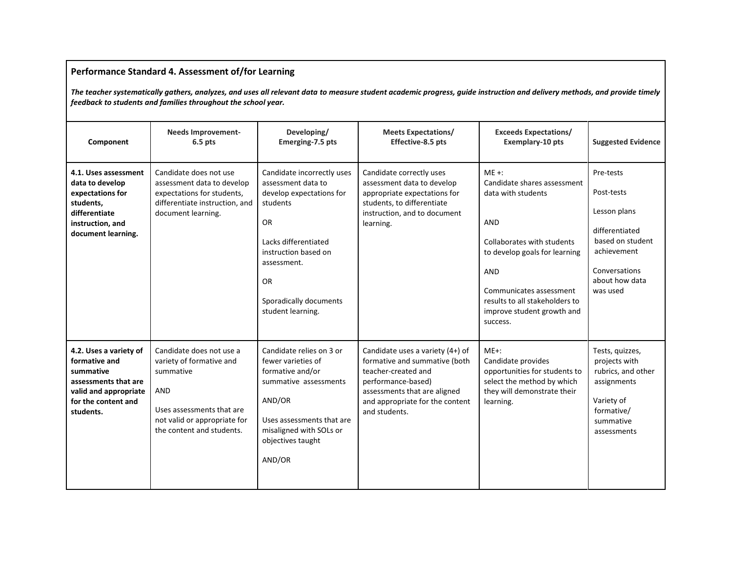## **Performance Standard 4. Assessment of/for Learning**

*The teacher systematically gathers, analyzes, and uses all relevant data to measure student academic progress, guide instruction and delivery methods, and provide timely feedback to students and families throughout the school year.*

| Component                                                                                                                                 | <b>Needs Improvement-</b><br>$6.5$ pts                                                                                                                                    | Developing/<br>Emerging-7.5 pts                                                                                                                                                                                            | <b>Meets Expectations/</b><br>Effective-8.5 pts                                                                                                                                                    | <b>Exceeds Expectations/</b><br>Exemplary-10 pts                                                                                                                                                                                                        | <b>Suggested Evidence</b>                                                                                                                   |
|-------------------------------------------------------------------------------------------------------------------------------------------|---------------------------------------------------------------------------------------------------------------------------------------------------------------------------|----------------------------------------------------------------------------------------------------------------------------------------------------------------------------------------------------------------------------|----------------------------------------------------------------------------------------------------------------------------------------------------------------------------------------------------|---------------------------------------------------------------------------------------------------------------------------------------------------------------------------------------------------------------------------------------------------------|---------------------------------------------------------------------------------------------------------------------------------------------|
| 4.1. Uses assessment<br>data to develop<br>expectations for<br>students,<br>differentiate<br>instruction, and<br>document learning.       | Candidate does not use<br>assessment data to develop<br>expectations for students,<br>differentiate instruction, and<br>document learning.                                | Candidate incorrectly uses<br>assessment data to<br>develop expectations for<br>students<br>OR.<br>Lacks differentiated<br>instruction based on<br>assessment.<br><b>OR</b><br>Sporadically documents<br>student learning. | Candidate correctly uses<br>assessment data to develop<br>appropriate expectations for<br>students, to differentiate<br>instruction, and to document<br>learning.                                  | $ME +:$<br>Candidate shares assessment<br>data with students<br>AND<br>Collaborates with students<br>to develop goals for learning<br><b>AND</b><br>Communicates assessment<br>results to all stakeholders to<br>improve student growth and<br>success. | Pre-tests<br>Post-tests<br>Lesson plans<br>differentiated<br>based on student<br>achievement<br>Conversations<br>about how data<br>was used |
| 4.2. Uses a variety of<br>formative and<br>summative<br>assessments that are<br>valid and appropriate<br>for the content and<br>students. | Candidate does not use a<br>variety of formative and<br>summative<br><b>AND</b><br>Uses assessments that are<br>not valid or appropriate for<br>the content and students. | Candidate relies on 3 or<br>fewer varieties of<br>formative and/or<br>summative assessments<br>AND/OR<br>Uses assessments that are<br>misaligned with SOLs or<br>objectives taught<br>AND/OR                               | Candidate uses a variety (4+) of<br>formative and summative (both<br>teacher-created and<br>performance-based)<br>assessments that are aligned<br>and appropriate for the content<br>and students. | $ME+$ :<br>Candidate provides<br>opportunities for students to<br>select the method by which<br>they will demonstrate their<br>learning.                                                                                                                | Tests, quizzes,<br>projects with<br>rubrics, and other<br>assignments<br>Variety of<br>formative/<br>summative<br>assessments               |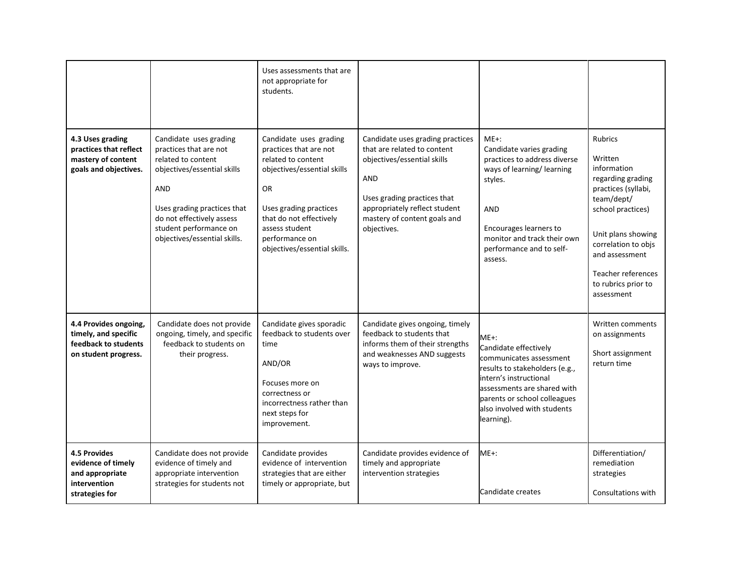|                                                                                                |                                                                                                                                                                                                                                           | Uses assessments that are<br>not appropriate for<br>students.                                                                                                                                                                               |                                                                                                                                                                                                                             |                                                                                                                                                                                                                                  |                                                                                                                                                                                                                                                          |
|------------------------------------------------------------------------------------------------|-------------------------------------------------------------------------------------------------------------------------------------------------------------------------------------------------------------------------------------------|---------------------------------------------------------------------------------------------------------------------------------------------------------------------------------------------------------------------------------------------|-----------------------------------------------------------------------------------------------------------------------------------------------------------------------------------------------------------------------------|----------------------------------------------------------------------------------------------------------------------------------------------------------------------------------------------------------------------------------|----------------------------------------------------------------------------------------------------------------------------------------------------------------------------------------------------------------------------------------------------------|
| 4.3 Uses grading<br>practices that reflect<br>mastery of content<br>goals and objectives.      | Candidate uses grading<br>practices that are not<br>related to content<br>objectives/essential skills<br><b>AND</b><br>Uses grading practices that<br>do not effectively assess<br>student performance on<br>objectives/essential skills. | Candidate uses grading<br>practices that are not<br>related to content<br>objectives/essential skills<br><b>OR</b><br>Uses grading practices<br>that do not effectively<br>assess student<br>performance on<br>objectives/essential skills. | Candidate uses grading practices<br>that are related to content<br>objectives/essential skills<br><b>AND</b><br>Uses grading practices that<br>appropriately reflect student<br>mastery of content goals and<br>objectives. | $ME+$ :<br>Candidate varies grading<br>practices to address diverse<br>ways of learning/ learning<br>styles.<br><b>AND</b><br>Encourages learners to<br>monitor and track their own<br>performance and to self-<br>assess.       | <b>Rubrics</b><br>Written<br>information<br>regarding grading<br>practices (syllabi,<br>team/dept/<br>school practices)<br>Unit plans showing<br>correlation to objs<br>and assessment<br><b>Teacher references</b><br>to rubrics prior to<br>assessment |
| 4.4 Provides ongoing,<br>timely, and specific<br>feedback to students<br>on student progress.  | Candidate does not provide<br>ongoing, timely, and specific<br>feedback to students on<br>their progress.                                                                                                                                 | Candidate gives sporadic<br>feedback to students over<br>time<br>AND/OR<br>Focuses more on<br>correctness or<br>incorrectness rather than<br>next steps for<br>improvement.                                                                 | Candidate gives ongoing, timely<br>feedback to students that<br>informs them of their strengths<br>and weaknesses AND suggests<br>ways to improve.                                                                          | ME+:<br>Candidate effectively<br>communicates assessment<br>results to stakeholders (e.g.,<br>intern's instructional<br>assessments are shared with<br>parents or school colleagues<br>also involved with students<br>learning). | Written comments<br>on assignments<br>Short assignment<br>return time                                                                                                                                                                                    |
| <b>4.5 Provides</b><br>evidence of timely<br>and appropriate<br>intervention<br>strategies for | Candidate does not provide<br>evidence of timely and<br>appropriate intervention<br>strategies for students not                                                                                                                           | Candidate provides<br>evidence of intervention<br>strategies that are either<br>timely or appropriate, but                                                                                                                                  | Candidate provides evidence of<br>timely and appropriate<br>intervention strategies                                                                                                                                         | $ME+$ :<br>Candidate creates                                                                                                                                                                                                     | Differentiation/<br>remediation<br>strategies<br>Consultations with                                                                                                                                                                                      |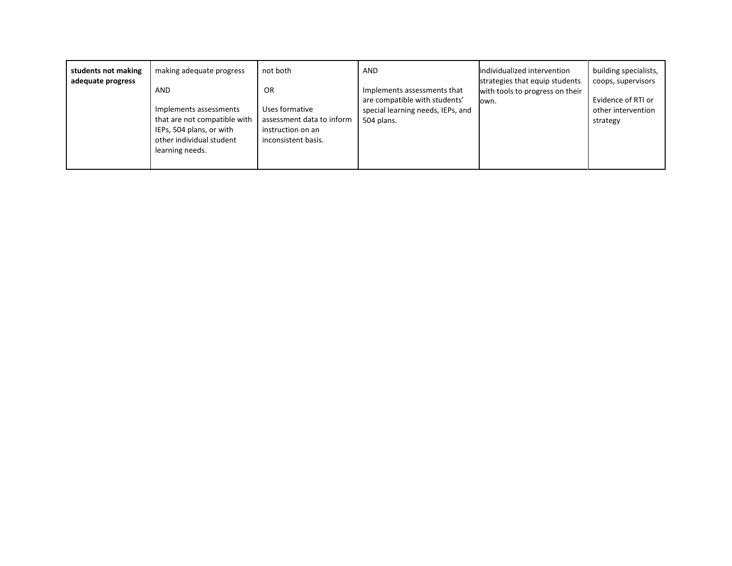| students not making<br>adequate progress | making adequate progress<br>AND<br>Implements assessments<br>that are not compatible with<br>IEPs, 504 plans, or with<br>other individual student<br>learning needs. | not both<br>0R<br>Uses formative<br>assessment data to inform<br>instruction on an<br>inconsistent basis. | <b>AND</b><br>Implements assessments that<br>are compatible with students'<br>special learning needs, IEPs, and<br>504 plans. | individualized intervention<br>strategies that equip students<br>with tools to progress on their<br>lown. | building specialists,<br>coops, supervisors<br>Evidence of RTI or<br>other intervention<br>strategy |
|------------------------------------------|----------------------------------------------------------------------------------------------------------------------------------------------------------------------|-----------------------------------------------------------------------------------------------------------|-------------------------------------------------------------------------------------------------------------------------------|-----------------------------------------------------------------------------------------------------------|-----------------------------------------------------------------------------------------------------|
|                                          |                                                                                                                                                                      |                                                                                                           |                                                                                                                               |                                                                                                           |                                                                                                     |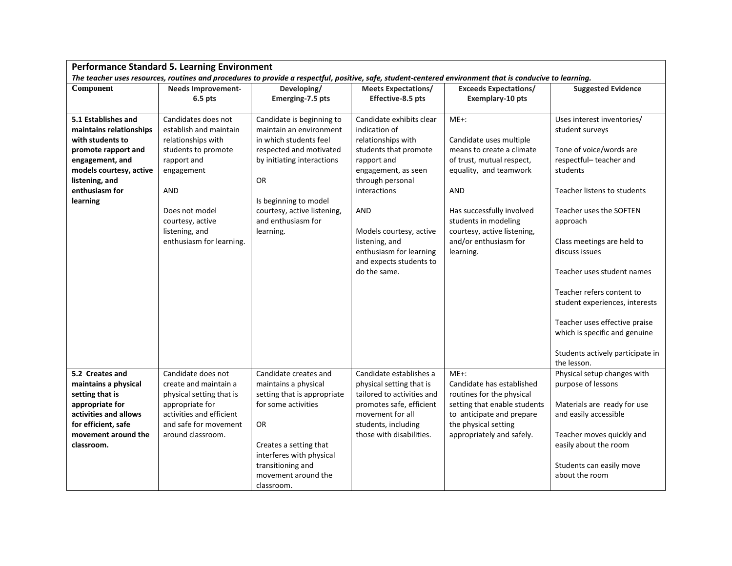|                                                                                                                                                                    | <b>Performance Standard 5. Learning Environment</b>                                                                                                                  |                                                                                                                                                                                                                           |                                                                                                                                                                                      |                                                                                                                                                                                     |                                                                                                                                                                                                                                                                                                       |
|--------------------------------------------------------------------------------------------------------------------------------------------------------------------|----------------------------------------------------------------------------------------------------------------------------------------------------------------------|---------------------------------------------------------------------------------------------------------------------------------------------------------------------------------------------------------------------------|--------------------------------------------------------------------------------------------------------------------------------------------------------------------------------------|-------------------------------------------------------------------------------------------------------------------------------------------------------------------------------------|-------------------------------------------------------------------------------------------------------------------------------------------------------------------------------------------------------------------------------------------------------------------------------------------------------|
|                                                                                                                                                                    |                                                                                                                                                                      |                                                                                                                                                                                                                           |                                                                                                                                                                                      | The teacher uses resources, routines and procedures to provide a respectful, positive, safe, student-centered environment that is conducive to learning.                            |                                                                                                                                                                                                                                                                                                       |
| Component                                                                                                                                                          | <b>Needs Improvement-</b>                                                                                                                                            | Developing/                                                                                                                                                                                                               | <b>Meets Expectations/</b>                                                                                                                                                           | <b>Exceeds Expectations/</b>                                                                                                                                                        | <b>Suggested Evidence</b>                                                                                                                                                                                                                                                                             |
|                                                                                                                                                                    | $6.5$ pts                                                                                                                                                            | Emerging-7.5 pts                                                                                                                                                                                                          | Effective-8.5 pts                                                                                                                                                                    | <b>Exemplary-10 pts</b>                                                                                                                                                             |                                                                                                                                                                                                                                                                                                       |
| 5.1 Establishes and<br>maintains relationships                                                                                                                     | Candidates does not<br>establish and maintain                                                                                                                        | Candidate is beginning to<br>maintain an environment                                                                                                                                                                      | Candidate exhibits clear<br>indication of                                                                                                                                            | $ME+$ :                                                                                                                                                                             | Uses interest inventories/<br>student surveys                                                                                                                                                                                                                                                         |
| with students to<br>promote rapport and<br>engagement, and<br>models courtesy, active<br>listening, and                                                            | relationships with<br>students to promote<br>rapport and<br>engagement                                                                                               | in which students feel<br>respected and motivated<br>by initiating interactions<br>OR                                                                                                                                     | relationships with<br>students that promote<br>rapport and<br>engagement, as seen<br>through personal                                                                                | Candidate uses multiple<br>means to create a climate<br>of trust, mutual respect,<br>equality, and teamwork                                                                         | Tone of voice/words are<br>respectful-teacher and<br>students                                                                                                                                                                                                                                         |
| enthusiasm for                                                                                                                                                     | AND                                                                                                                                                                  |                                                                                                                                                                                                                           | interactions                                                                                                                                                                         | AND                                                                                                                                                                                 | Teacher listens to students                                                                                                                                                                                                                                                                           |
| learning                                                                                                                                                           | Does not model<br>courtesy, active<br>listening, and<br>enthusiasm for learning.                                                                                     | Is beginning to model<br>courtesy, active listening,<br>and enthusiasm for<br>learning.                                                                                                                                   | AND<br>Models courtesy, active<br>listening, and<br>enthusiasm for learning<br>and expects students to<br>do the same.                                                               | Has successfully involved<br>students in modeling<br>courtesy, active listening,<br>and/or enthusiasm for<br>learning.                                                              | Teacher uses the SOFTEN<br>approach<br>Class meetings are held to<br>discuss issues<br>Teacher uses student names<br>Teacher refers content to<br>student experiences, interests<br>Teacher uses effective praise<br>which is specific and genuine<br>Students actively participate in<br>the lesson. |
| 5.2 Creates and<br>maintains a physical<br>setting that is<br>appropriate for<br>activities and allows<br>for efficient, safe<br>movement around the<br>classroom. | Candidate does not<br>create and maintain a<br>physical setting that is<br>appropriate for<br>activities and efficient<br>and safe for movement<br>around classroom. | Candidate creates and<br>maintains a physical<br>setting that is appropriate<br>for some activities<br>OR<br>Creates a setting that<br>interferes with physical<br>transitioning and<br>movement around the<br>classroom. | Candidate establishes a<br>physical setting that is<br>tailored to activities and<br>promotes safe, efficient<br>movement for all<br>students, including<br>those with disabilities. | $ME+$ :<br>Candidate has established<br>routines for the physical<br>setting that enable students<br>to anticipate and prepare<br>the physical setting<br>appropriately and safely. | Physical setup changes with<br>purpose of lessons<br>Materials are ready for use<br>and easily accessible<br>Teacher moves quickly and<br>easily about the room<br>Students can easily move<br>about the room                                                                                         |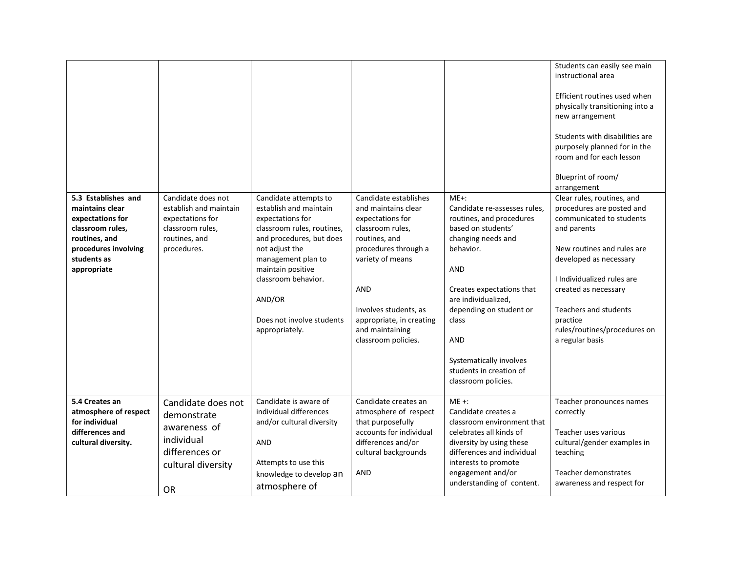|                                                                                                                                                       |                                                                                                                      |                                                                                                                                                                                                                                                                            |                                                                                                                                                                                                                                                                |                                                                                                                                                                                                                                                                                                                        | Students can easily see main<br>instructional area<br>Efficient routines used when<br>physically transitioning into a<br>new arrangement<br>Students with disabilities are<br>purposely planned for in the<br>room and for each lesson<br>Blueprint of room/<br>arrangement                                     |
|-------------------------------------------------------------------------------------------------------------------------------------------------------|----------------------------------------------------------------------------------------------------------------------|----------------------------------------------------------------------------------------------------------------------------------------------------------------------------------------------------------------------------------------------------------------------------|----------------------------------------------------------------------------------------------------------------------------------------------------------------------------------------------------------------------------------------------------------------|------------------------------------------------------------------------------------------------------------------------------------------------------------------------------------------------------------------------------------------------------------------------------------------------------------------------|-----------------------------------------------------------------------------------------------------------------------------------------------------------------------------------------------------------------------------------------------------------------------------------------------------------------|
| 5.3 Establishes and<br>maintains clear<br>expectations for<br>classroom rules,<br>routines, and<br>procedures involving<br>students as<br>appropriate | Candidate does not<br>establish and maintain<br>expectations for<br>classroom rules,<br>routines, and<br>procedures. | Candidate attempts to<br>establish and maintain<br>expectations for<br>classroom rules, routines,<br>and procedures, but does<br>not adjust the<br>management plan to<br>maintain positive<br>classroom behavior.<br>AND/OR<br>Does not involve students<br>appropriately. | Candidate establishes<br>and maintains clear<br>expectations for<br>classroom rules,<br>routines, and<br>procedures through a<br>variety of means<br><b>AND</b><br>Involves students, as<br>appropriate, in creating<br>and maintaining<br>classroom policies. | $ME+$ :<br>Candidate re-assesses rules,<br>routines, and procedures<br>based on students'<br>changing needs and<br>behavior.<br>AND<br>Creates expectations that<br>are individualized,<br>depending on student or<br><b>class</b><br>AND<br>Systematically involves<br>students in creation of<br>classroom policies. | Clear rules, routines, and<br>procedures are posted and<br>communicated to students<br>and parents<br>New routines and rules are<br>developed as necessary<br>I Individualized rules are<br>created as necessary<br><b>Teachers and students</b><br>practice<br>rules/routines/procedures on<br>a regular basis |
| 5.4 Creates an<br>atmosphere of respect<br>for individual<br>differences and<br>cultural diversity.                                                   | Candidate does not<br>demonstrate<br>awareness of<br>individual<br>differences or<br>cultural diversity<br><b>OR</b> | Candidate is aware of<br>individual differences<br>and/or cultural diversity<br>AND<br>Attempts to use this<br>knowledge to develop an<br>atmosphere of                                                                                                                    | Candidate creates an<br>atmosphere of respect<br>that purposefully<br>accounts for individual<br>differences and/or<br>cultural backgrounds<br><b>AND</b>                                                                                                      | $ME +:$<br>Candidate creates a<br>classroom environment that<br>celebrates all kinds of<br>diversity by using these<br>differences and individual<br>interests to promote<br>engagement and/or<br>understanding of content.                                                                                            | Teacher pronounces names<br>correctly<br>Teacher uses various<br>cultural/gender examples in<br>teaching<br>Teacher demonstrates<br>awareness and respect for                                                                                                                                                   |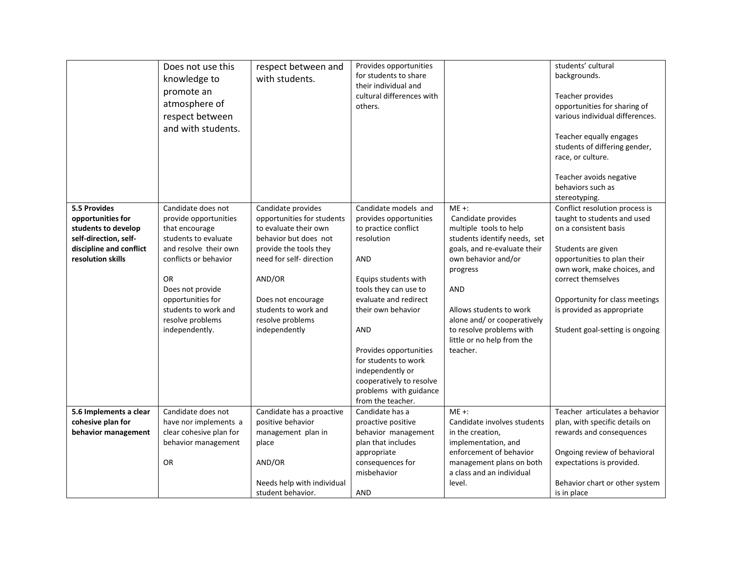|                                                                                                                                   | Does not use this<br>knowledge to<br>promote an<br>atmosphere of<br>respect between<br>and with students.                                                                                                                                                   | respect between and<br>with students.                                                                                                                                                                                                                 | Provides opportunities<br>for students to share<br>their individual and<br>cultural differences with<br>others.                                                                                                                                                                                                                                            |                                                                                                                                                                                                                                                                                                   | students' cultural<br>backgrounds.<br>Teacher provides<br>opportunities for sharing of<br>various individual differences.<br>Teacher equally engages<br>students of differing gender,<br>race, or culture.<br>Teacher avoids negative<br>behaviors such as<br>stereotyping.                         |
|-----------------------------------------------------------------------------------------------------------------------------------|-------------------------------------------------------------------------------------------------------------------------------------------------------------------------------------------------------------------------------------------------------------|-------------------------------------------------------------------------------------------------------------------------------------------------------------------------------------------------------------------------------------------------------|------------------------------------------------------------------------------------------------------------------------------------------------------------------------------------------------------------------------------------------------------------------------------------------------------------------------------------------------------------|---------------------------------------------------------------------------------------------------------------------------------------------------------------------------------------------------------------------------------------------------------------------------------------------------|-----------------------------------------------------------------------------------------------------------------------------------------------------------------------------------------------------------------------------------------------------------------------------------------------------|
| 5.5 Provides<br>opportunities for<br>students to develop<br>self-direction, self-<br>discipline and conflict<br>resolution skills | Candidate does not<br>provide opportunities<br>that encourage<br>students to evaluate<br>and resolve their own<br>conflicts or behavior<br><b>OR</b><br>Does not provide<br>opportunities for<br>students to work and<br>resolve problems<br>independently. | Candidate provides<br>opportunities for students<br>to evaluate their own<br>behavior but does not<br>provide the tools they<br>need for self- direction<br>AND/OR<br>Does not encourage<br>students to work and<br>resolve problems<br>independently | Candidate models and<br>provides opportunities<br>to practice conflict<br>resolution<br>AND<br>Equips students with<br>tools they can use to<br>evaluate and redirect<br>their own behavior<br><b>AND</b><br>Provides opportunities<br>for students to work<br>independently or<br>cooperatively to resolve<br>problems with guidance<br>from the teacher. | $ME +:$<br>Candidate provides<br>multiple tools to help<br>students identify needs, set<br>goals, and re-evaluate their<br>own behavior and/or<br>progress<br>AND<br>Allows students to work<br>alone and/ or cooperatively<br>to resolve problems with<br>little or no help from the<br>teacher. | Conflict resolution process is<br>taught to students and used<br>on a consistent basis<br>Students are given<br>opportunities to plan their<br>own work, make choices, and<br>correct themselves<br>Opportunity for class meetings<br>is provided as appropriate<br>Student goal-setting is ongoing |
| 5.6 Implements a clear<br>cohesive plan for<br>behavior management                                                                | Candidate does not<br>have nor implements a<br>clear cohesive plan for<br>behavior management<br><b>OR</b>                                                                                                                                                  | Candidate has a proactive<br>positive behavior<br>management plan in<br>place<br>AND/OR<br>Needs help with individual<br>student behavior.                                                                                                            | Candidate has a<br>proactive positive<br>behavior management<br>plan that includes<br>appropriate<br>consequences for<br>misbehavior<br><b>AND</b>                                                                                                                                                                                                         | $ME +:$<br>Candidate involves students<br>in the creation,<br>implementation, and<br>enforcement of behavior<br>management plans on both<br>a class and an individual<br>level.                                                                                                                   | Teacher articulates a behavior<br>plan, with specific details on<br>rewards and consequences<br>Ongoing review of behavioral<br>expectations is provided.<br>Behavior chart or other system<br>is in place                                                                                          |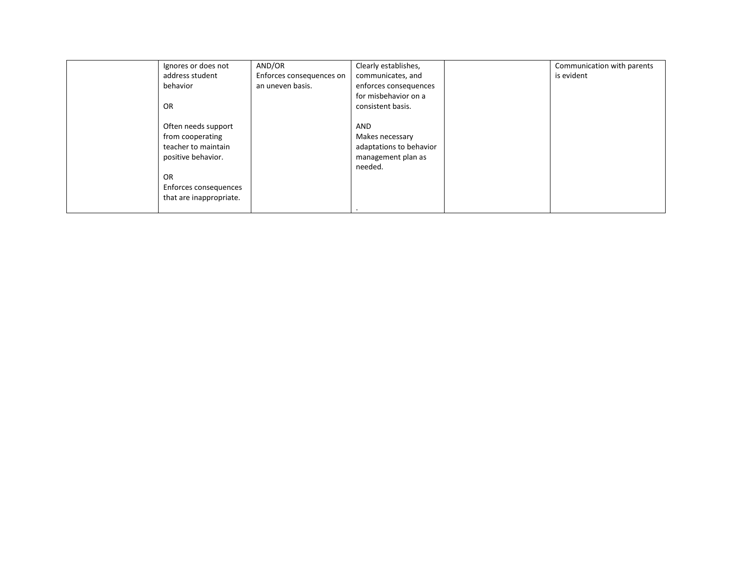| Ignores or does not     | AND/OR                   | Clearly establishes,    | Communication with parents |
|-------------------------|--------------------------|-------------------------|----------------------------|
| address student         | Enforces consequences on | communicates, and       | is evident                 |
| behavior                | an uneven basis.         | enforces consequences   |                            |
|                         |                          | for misbehavior on a    |                            |
| OR                      |                          | consistent basis.       |                            |
| Often needs support     |                          | <b>AND</b>              |                            |
| from cooperating        |                          | Makes necessary         |                            |
| teacher to maintain     |                          | adaptations to behavior |                            |
| positive behavior.      |                          | management plan as      |                            |
|                         |                          | needed.                 |                            |
| OR                      |                          |                         |                            |
| Enforces consequences   |                          |                         |                            |
| that are inappropriate. |                          |                         |                            |
|                         |                          |                         |                            |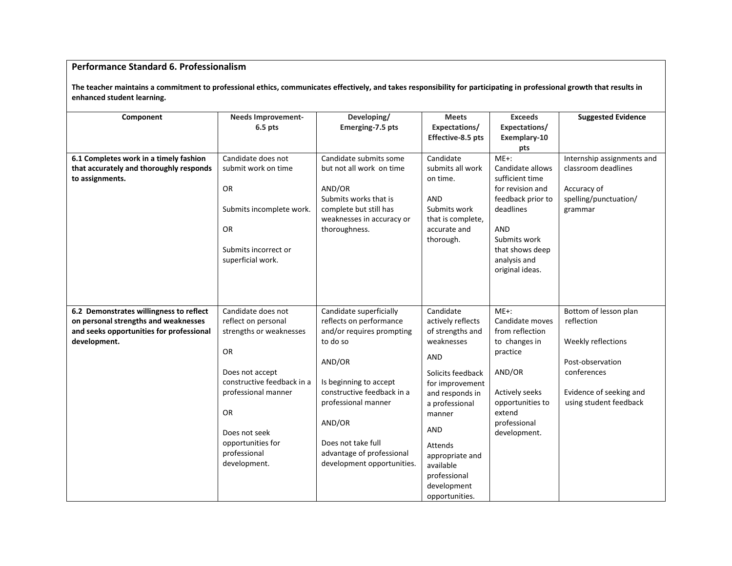### **Performance Standard 6. Professionalism**

**The teacher maintains a commitment to professional ethics, communicates effectively, and takes responsibility for participating in professional growth that results in enhanced student learning.**

| Component                                                | <b>Needs Improvement-</b>  | Developing/                                         | <b>Meets</b>                      | <b>Exceeds</b>                     | <b>Suggested Evidence</b>  |
|----------------------------------------------------------|----------------------------|-----------------------------------------------------|-----------------------------------|------------------------------------|----------------------------|
|                                                          | 6.5 pts                    | Emerging-7.5 pts                                    | Expectations/                     | Expectations/                      |                            |
|                                                          |                            |                                                     | Effective-8.5 pts                 | Exemplary-10                       |                            |
|                                                          |                            |                                                     |                                   | pts                                |                            |
| 6.1 Completes work in a timely fashion                   | Candidate does not         | Candidate submits some                              | Candidate                         | $ME+$ :                            | Internship assignments and |
| that accurately and thoroughly responds                  | submit work on time        | but not all work on time                            | submits all work                  | Candidate allows                   | classroom deadlines        |
| to assignments.                                          |                            |                                                     | on time.                          | sufficient time                    |                            |
|                                                          | <b>OR</b>                  | AND/OR                                              |                                   | for revision and                   | Accuracy of                |
|                                                          |                            | Submits works that is                               | <b>AND</b>                        | feedback prior to                  | spelling/punctuation/      |
|                                                          | Submits incomplete work.   | complete but still has<br>weaknesses in accuracy or | Submits work<br>that is complete, | deadlines                          | grammar                    |
|                                                          | <b>OR</b>                  | thoroughness.                                       | accurate and                      | AND                                |                            |
|                                                          |                            |                                                     | thorough.                         | Submits work                       |                            |
|                                                          | Submits incorrect or       |                                                     |                                   | that shows deep                    |                            |
|                                                          | superficial work.          |                                                     |                                   | analysis and                       |                            |
|                                                          |                            |                                                     |                                   | original ideas.                    |                            |
|                                                          |                            |                                                     |                                   |                                    |                            |
|                                                          |                            |                                                     |                                   |                                    |                            |
|                                                          |                            |                                                     |                                   |                                    |                            |
| 6.2 Demonstrates willingness to reflect                  | Candidate does not         | Candidate superficially                             | Candidate                         | $ME+:$                             | Bottom of lesson plan      |
| on personal strengths and weaknesses                     | reflect on personal        | reflects on performance                             | actively reflects                 | Candidate moves<br>from reflection | reflection                 |
| and seeks opportunities for professional<br>development. | strengths or weaknesses    | and/or requires prompting<br>to do so               | of strengths and<br>weaknesses    | to changes in                      | Weekly reflections         |
|                                                          | <b>OR</b>                  |                                                     |                                   | practice                           |                            |
|                                                          |                            | AND/OR                                              | AND                               |                                    | Post-observation           |
|                                                          | Does not accept            |                                                     | Solicits feedback                 | AND/OR                             | conferences                |
|                                                          | constructive feedback in a | Is beginning to accept                              | for improvement                   |                                    |                            |
|                                                          | professional manner        | constructive feedback in a                          | and responds in                   | Actively seeks                     | Evidence of seeking and    |
|                                                          |                            | professional manner                                 | a professional                    | opportunities to                   | using student feedback     |
|                                                          | <b>OR</b>                  |                                                     | manner                            | extend                             |                            |
|                                                          |                            | AND/OR                                              |                                   | professional                       |                            |
|                                                          | Does not seek              |                                                     | AND                               | development.                       |                            |
|                                                          | opportunities for          | Does not take full                                  | Attends                           |                                    |                            |
|                                                          | professional               | advantage of professional                           | appropriate and                   |                                    |                            |
|                                                          | development.               | development opportunities.                          | available                         |                                    |                            |
|                                                          |                            |                                                     | professional                      |                                    |                            |
|                                                          |                            |                                                     | development                       |                                    |                            |
|                                                          |                            |                                                     | opportunities.                    |                                    |                            |